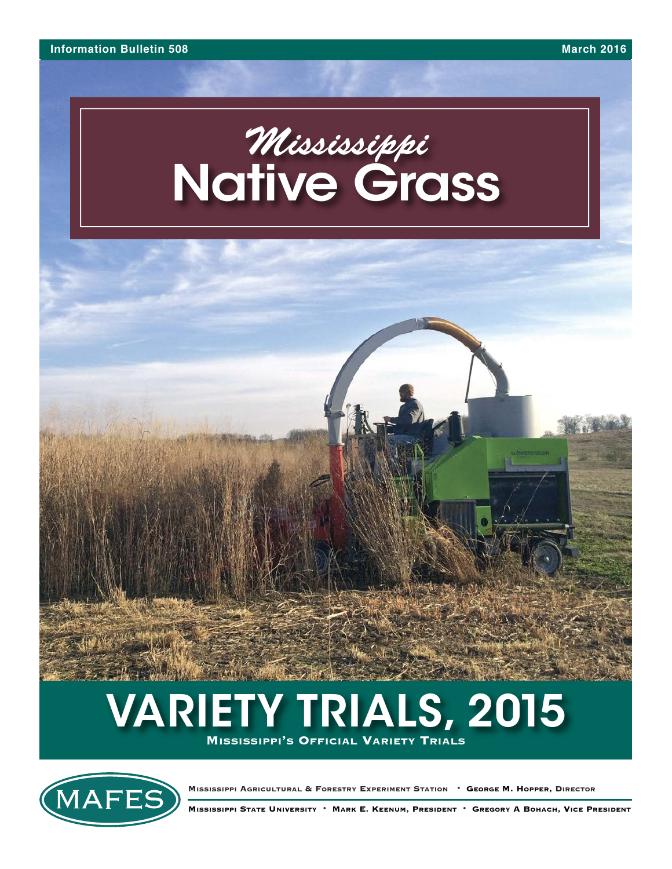# *Mississippi* **Native Grass**



## **VARIETY TRIALS, 2015 MISSISSIPPI'S OFFICIAL VARIETY TRIALS**

MAFE:

**MISSISSIPPI AGRICULTURAL & FORESTRY EXPERIMENT STATION** • **GEORGE M. HOPPER, DIRECTOR**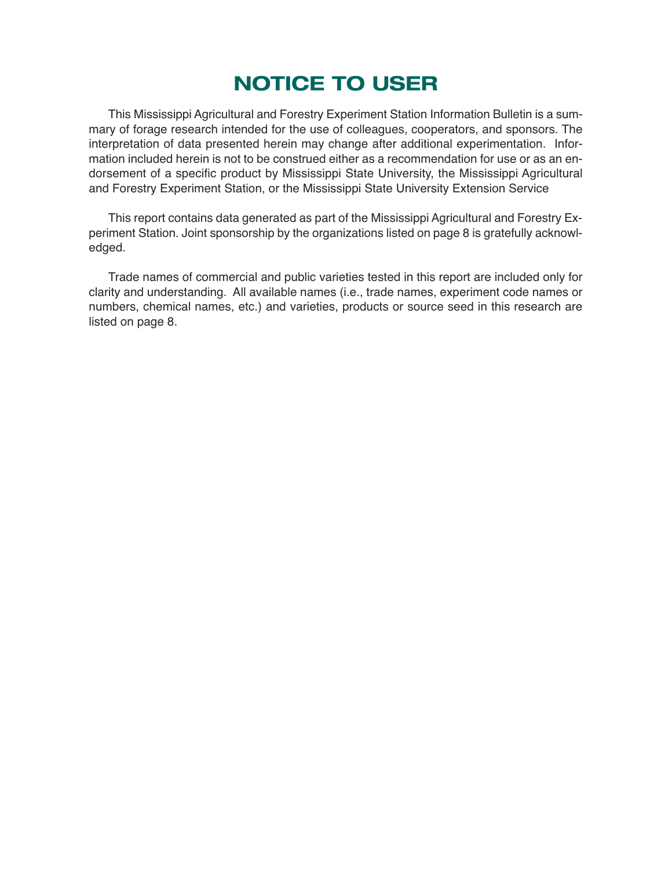## **NOTICE TO USER**

This Mississippi Agricultural and Forestry Experiment Station Information Bulletin is a summary of forage research intended for the use of colleagues, cooperators, and sponsors. The interpretation of data presented herein may change after additional experimentation. Information included herein is not to be construed either as a recommendation for use or as an endorsement of a specific product by Mississippi State University, the Mississippi Agricultural and Forestry Experiment Station, or the Mississippi State University Extension Service

This report contains data generated as part of the Mississippi Agricultural and Forestry Experiment Station. Joint sponsorship by the organizations listed on page 8 is gratefully acknowledged.

Trade names of commercial and public varieties tested in this report are included only for clarity and understanding. All available names (i.e., trade names, experiment code names or numbers, chemical names, etc.) and varieties, products or source seed in this research are listed on page 8.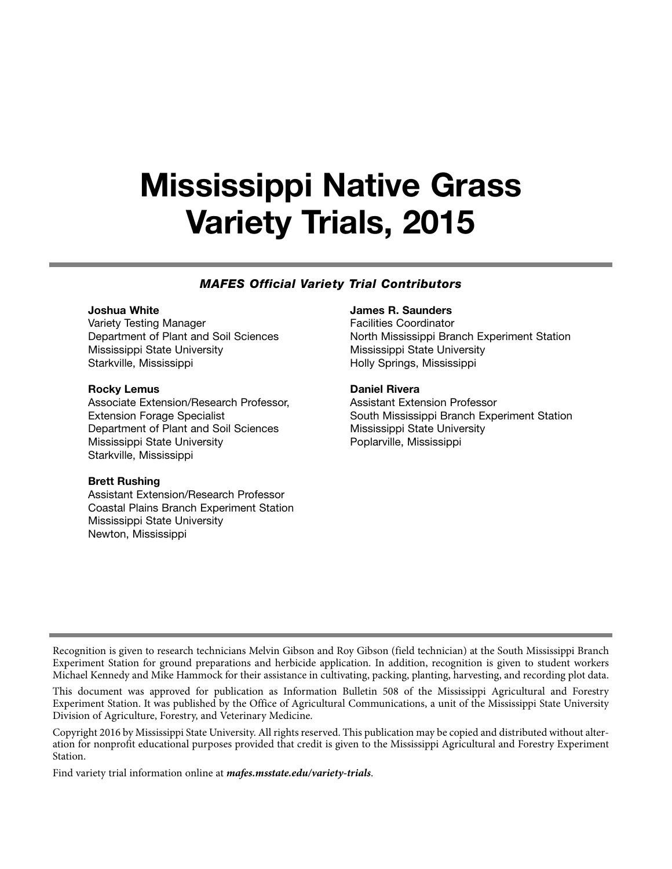## **Mississippi Native Grass Variety Trials, 2015**

#### *MAFES Official Variety Trial Contributors*

#### **Joshua White**

Variety Testing Manager Department of Plant and Soil Sciences Mississippi State University Starkville, Mississippi

#### **Rocky Lemus**

Associate Extension/Research Professor, Extension Forage Specialist Department of Plant and Soil Sciences Mississippi State University Starkville, Mississippi

#### **Brett Rushing**

Assistant Extension/Research Professor Coastal Plains Branch Experiment Station Mississippi State University Newton, Mississippi

#### **James R. Saunders**

Facilities Coordinator North Mississippi Branch Experiment Station Mississippi State University Holly Springs, Mississippi

#### **Daniel Rivera**

Assistant Extension Professor South Mississippi Branch Experiment Station Mississippi State University Poplarville, Mississippi

Recognition is given to research technicians Melvin Gibson and Roy Gibson (field technician) at the South Mississippi Branch Experiment Station for ground preparations and herbicide application. In addition, recognition is given to student workers Michael Kennedy and Mike Hammock for their assistance in cultivating, packing, planting, harvesting, and recording plot data.

This document was approved for publication as Information Bulletin 508 of the Mississippi Agricultural and Forestry Experiment Station. It was published by the Office of Agricultural Communications, a unit of the Mississippi State University Division of Agriculture, Forestry, and Veterinary Medicine.

Copyright 2016 by Mississippi State University. All rights reserved. This publication may be copied and distributed without alteration for nonprofit educational purposes provided that credit is given to the Mississippi Agricultural and Forestry Experiment Station.

Find variety trial information online at *mafes.msstate.edu/variety-trials*.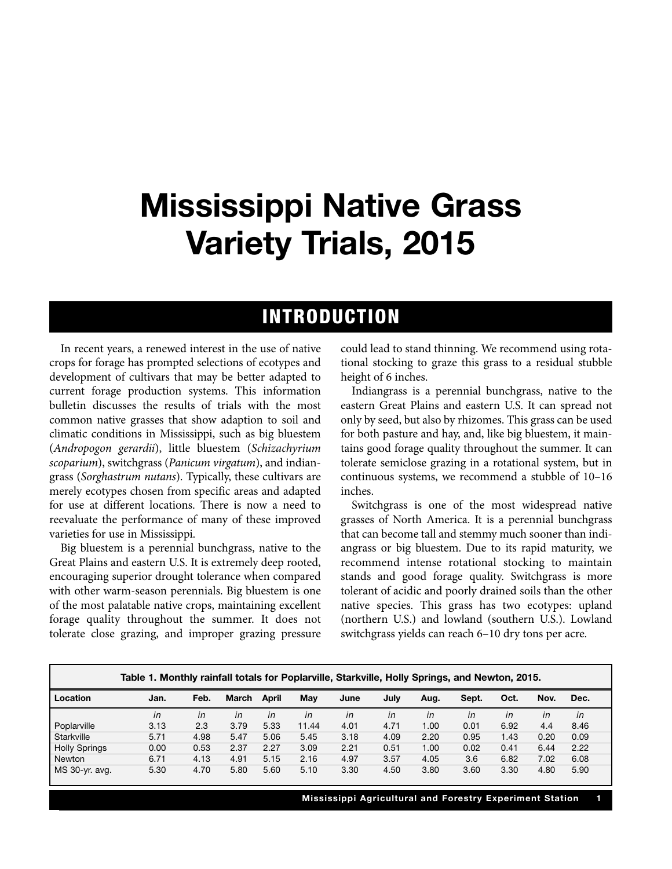## **Mississippi Native Grass Variety Trials, 2015**

### **INTRODUCTION**

In recent years, a renewed interest in the use of native crops for forage has prompted selections of ecotypes and development of cultivars that may be better adapted to current forage production systems. This information bulletin discusses the results of trials with the most common native grasses that show adaption to soil and climatic conditions in Mississippi, such as big bluestem (*Andropogon gerardii*), little bluestem (*Schizachyrium scoparium*), switchgrass (*Panicum virgatum*), and indiangrass (*Sorghastrum nutans*). Typically, these cultivars are merely ecotypes chosen from specific areas and adapted for use at different locations. There is now a need to reevaluate the performance of many of these improved varieties for use in Mississippi.

Big bluestem is a perennial bunchgrass, native to the Great Plains and eastern U.S. It is extremely deep rooted, encouraging superior drought tolerance when compared with other warm-season perennials. Big bluestem is one of the most palatable native crops, maintaining excellent forage quality throughout the summer. It does not tolerate close grazing, and improper grazing pressure could lead to stand thinning. We recommend using rotational stocking to graze this grass to a residual stubble height of 6 inches.

Indiangrass is a perennial bunchgrass, native to the eastern Great Plains and eastern U.S. It can spread not only by seed, but also by rhizomes. This grass can be used for both pasture and hay, and, like big bluestem, it maintains good forage quality throughout the summer. It can tolerate semiclose grazing in a rotational system, but in continuous systems, we recommend a stubble of 10–16 inches.

Switchgrass is one of the most widespread native grasses of North America. It is a perennial bunchgrass that can become tall and stemmy much sooner than indiangrass or big bluestem. Due to its rapid maturity, we recommend intense rotational stocking to maintain stands and good forage quality. Switchgrass is more tolerant of acidic and poorly drained soils than the other native species. This grass has two ecotypes: upland (northern U.S.) and lowland (southern U.S.). Lowland switchgrass yields can reach 6–10 dry tons per acre.

|                      | Table 1. Monthly rainfall totals for Poplarville, Starkville, Holly Springs, and Newton, 2015. |      |       |       |       |      |      |      |       |      |      |      |
|----------------------|------------------------------------------------------------------------------------------------|------|-------|-------|-------|------|------|------|-------|------|------|------|
| l Location           | Jan.                                                                                           | Feb. | March | April | Mav   | June | July | Aug. | Sept. | Oct. | Nov. | Dec. |
|                      | in                                                                                             | in   | in    | in    | in    | in   | in   | in   | in    | in   | in   | in   |
| Poplarville          | 3.13                                                                                           | 2.3  | 3.79  | 5.33  | 11.44 | 4.01 | 4.71 | 1.00 | 0.01  | 6.92 | 4.4  | 8.46 |
| Starkville           | 5.71                                                                                           | 4.98 | 5.47  | 5.06  | 5.45  | 3.18 | 4.09 | 2.20 | 0.95  | 1.43 | 0.20 | 0.09 |
| <b>Holly Springs</b> | 0.00                                                                                           | 0.53 | 2.37  | 2.27  | 3.09  | 2.21 | 0.51 | 1.00 | 0.02  | 0.41 | 6.44 | 2.22 |
| Newton               | 6.71                                                                                           | 4.13 | 4.91  | 5.15  | 2.16  | 4.97 | 3.57 | 4.05 | 3.6   | 6.82 | 7.02 | 6.08 |
| MS 30-yr. avg.       | 5.30                                                                                           | 4.70 | 5.80  | 5.60  | 5.10  | 3.30 | 4.50 | 3.80 | 3.60  | 3.30 | 4.80 | 5.90 |

**Mississippi Agricultural and Forestry Experiment Station 1**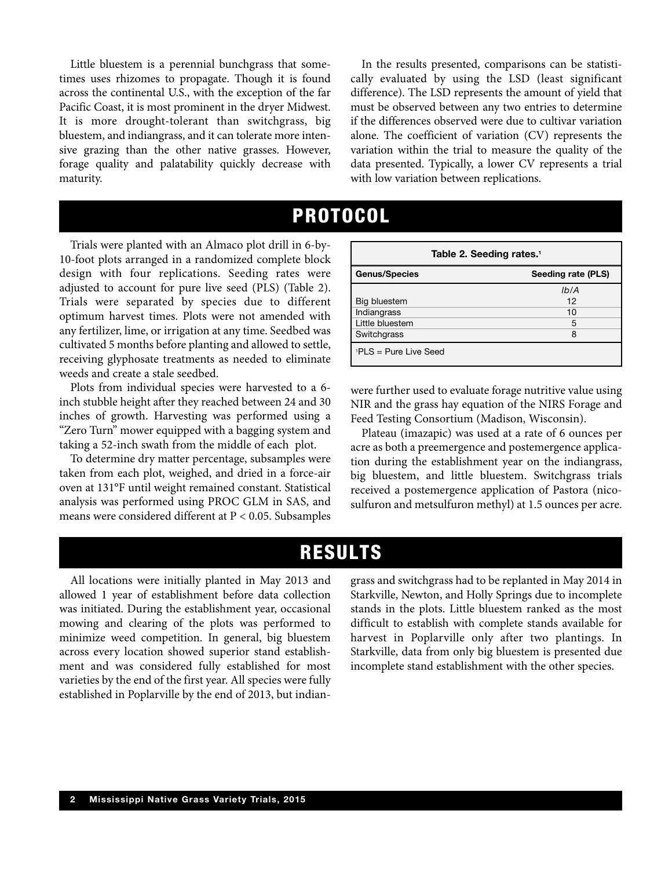Little bluestem is a perennial bunchgrass that sometimes uses rhizomes to propagate. Though it is found across the continental U.S., with the exception of the far Pacific Coast, it is most prominent in the dryer Midwest. It is more drought-tolerant than switchgrass, big bluestem, and indiangrass, and it can tolerate more intensive grazing than the other native grasses. However, forage quality and palatability quickly decrease with maturity.

In the results presented, comparisons can be statistically evaluated by using the LSD (least significant difference). The LSD represents the amount of yield that must be observed between any two entries to determine if the differences observed were due to cultivar variation alone. The coefficient of variation (CV) represents the variation within the trial to measure the quality of the data presented. Typically, a lower CV represents a trial with low variation between replications.

## **PROTOCOL**

Trials were planted with an Almaco plot drill in 6-by-10-foot plots arranged in a randomized complete block design with four replications. Seeding rates were adjusted to account for pure live seed (PLS) (Table 2). Trials were separated by species due to different optimum harvest times. Plots were not amended with any fertilizer, lime, or irrigation at any time. Seedbed was cultivated 5 months before planting and allowed to settle, receiving glyphosate treatments as needed to eliminate weeds and create a stale seedbed.

Plots from individual species were harvested to a 6 inch stubble height after they reached between 24 and 30 inches of growth. Harvesting was performed using a "Zero Turn" mower equipped with a bagging system and taking a 52-inch swath from the middle of each plot.

To determine dry matter percentage, subsamples were taken from each plot, weighed, and dried in a force-air oven at 131°F until weight remained constant. Statistical analysis was performed using PROC GLM in SAS, and means were considered different at P < 0.05. Subsamples

| Table 2. Seeding rates. <sup>1</sup> |                    |  |  |
|--------------------------------------|--------------------|--|--|
| <b>Genus/Species</b>                 | Seeding rate (PLS) |  |  |
|                                      | Ib/A               |  |  |
| Big bluestem                         | 12                 |  |  |
| Indiangrass                          | 10                 |  |  |
| Little bluestem                      | 5                  |  |  |
| Switchgrass                          | 8                  |  |  |
| $PLS = Pure Live Seed$               |                    |  |  |

were further used to evaluate forage nutritive value using NIR and the grass hay equation of the NIRS Forage and Feed Testing Consortium (Madison, Wisconsin).

Plateau (imazapic) was used at a rate of 6 ounces per acre as both a preemergence and postemergence application during the establishment year on the indiangrass, big bluestem, and little bluestem. Switchgrass trials received a postemergence application of Pastora (nicosulfuron and metsulfuron methyl) at 1.5 ounces per acre.

### **RESULTS**

All locations were initially planted in May 2013 and allowed 1 year of establishment before data collection was initiated. During the establishment year, occasional mowing and clearing of the plots was performed to minimize weed competition. In general, big bluestem across every location showed superior stand establishment and was considered fully established for most varieties by the end of the first year. All species were fully established in Poplarville by the end of 2013, but indian-

grass and switchgrass had to be replanted in May 2014 in Starkville, Newton, and Holly Springs due to incomplete stands in the plots. Little bluestem ranked as the most difficult to establish with complete stands available for harvest in Poplarville only after two plantings. In Starkville, data from only big bluestem is presented due incomplete stand establishment with the other species.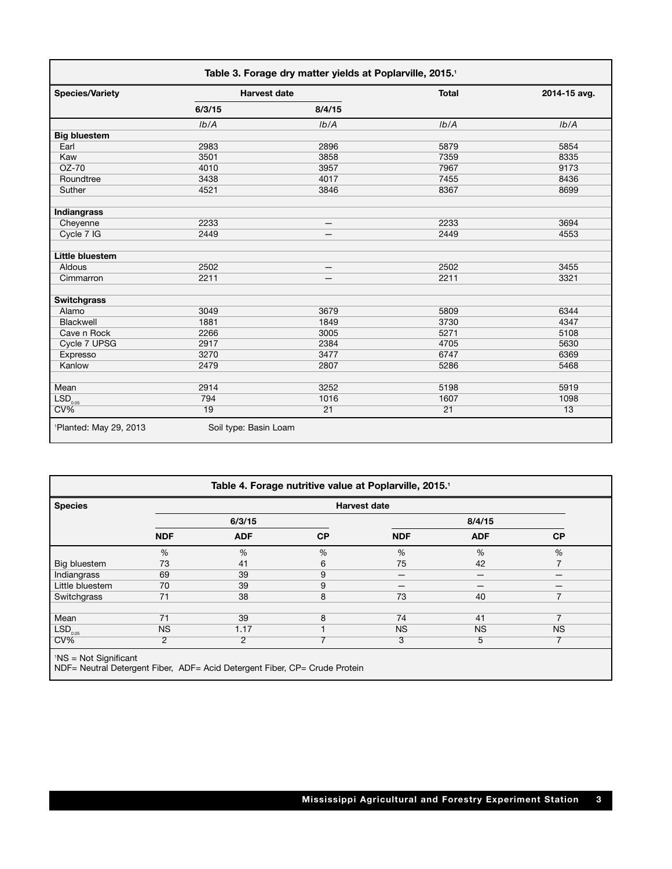| <b>Species/Variety</b> | <b>Harvest date</b> |        | <b>Total</b> | 2014-15 avg. |
|------------------------|---------------------|--------|--------------|--------------|
|                        | 6/3/15              | 8/4/15 |              |              |
|                        | Ib/A                | Ib/A   | Ib/A         | Ib/A         |
| <b>Big bluestem</b>    |                     |        |              |              |
| Earl                   | 2983                | 2896   | 5879         | 5854         |
| Kaw                    | 3501                | 3858   | 7359         | 8335         |
| $OZ-70$                | 4010                | 3957   | 7967         | 9173         |
| Roundtree              | 3438                | 4017   | 7455         | 8436         |
| Suther                 | 4521                | 3846   | 8367         | 8699         |
| Indiangrass            |                     |        |              |              |
| Cheyenne               | 2233                | —      | 2233         | 3694         |
| Cycle 7 IG             | 2449                |        | 2449         | 4553         |
| Little bluestem        |                     |        |              |              |
| Aldous                 | 2502                |        | 2502         | 3455         |
| Cimmarron              | 2211                |        | 2211         | 3321         |
| <b>Switchgrass</b>     |                     |        |              |              |
| Alamo                  | 3049                | 3679   | 5809         | 6344         |
| Blackwell              | 1881                | 1849   | 3730         | 4347         |
| Cave n Rock            | 2266                | 3005   | 5271         | 5108         |
| Cycle 7 UPSG           | 2917                | 2384   | 4705         | 5630         |
| Expresso               | 3270                | 3477   | 6747         | 6369         |
| Kanlow                 | 2479                | 2807   | 5286         | 5468         |
| Mean                   | 2914                | 3252   | 5198         | 5919         |
| LSD <sub>0.05</sub>    | 794                 | 1016   | 1607         | 1098         |
| $CV\%$                 | 19                  | 21     | 21           | 13           |

| Table 4. Forage nutritive value at Poplarville, 2015.1 |                     |                |           |            |            |                          |
|--------------------------------------------------------|---------------------|----------------|-----------|------------|------------|--------------------------|
| <b>Species</b>                                         | <b>Harvest date</b> |                |           |            |            |                          |
|                                                        |                     | 6/3/15         |           |            | 8/4/15     |                          |
|                                                        | <b>NDF</b>          | <b>ADF</b>     | <b>CP</b> | <b>NDF</b> | <b>ADF</b> | <b>CP</b>                |
|                                                        | %                   | %              | %         | $\%$       | %          | %                        |
| Big bluestem                                           | 73                  | 41             | 6         | 75         | 42         |                          |
| Indiangrass                                            | 69                  | 39             | 9         |            |            |                          |
| Little bluestem                                        | 70                  | 39             | 9         |            | —          |                          |
| Switchgrass                                            | 71                  | 38             | 8         | 73         | 40         | $\overline{7}$           |
|                                                        |                     |                |           |            |            |                          |
| Mean                                                   | 71                  | 39             | 8         | 74         | 41         | $\overline{\phantom{a}}$ |
| LSD <sub>0.05</sub>                                    | <b>NS</b>           | 1.17           |           | <b>NS</b>  | <b>NS</b>  | <b>NS</b>                |
| $CV\%$                                                 | 2                   | $\overline{2}$ | ⇁         | 3          | 5          | 7                        |
| <sup>1</sup> NS = Not Significant                      |                     |                |           |            |            |                          |

NDF= Neutral Detergent Fiber, ADF= Acid Detergent Fiber, CP= Crude Protein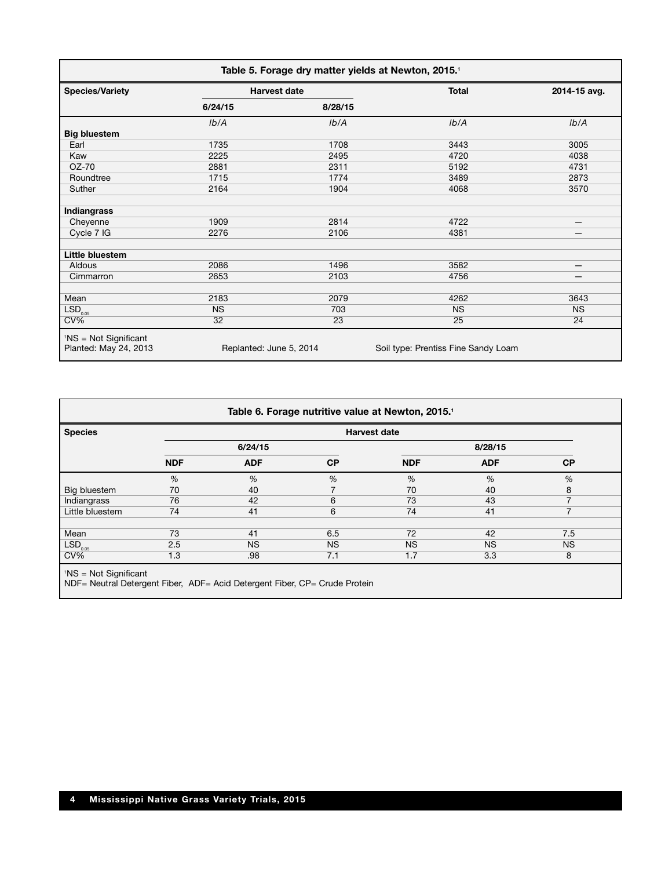| Table 5. Forage dry matter yields at Newton, 2015. <sup>1</sup> |                         |         |                                     |              |  |
|-----------------------------------------------------------------|-------------------------|---------|-------------------------------------|--------------|--|
| <b>Species/Variety</b>                                          | <b>Harvest date</b>     |         | <b>Total</b>                        | 2014-15 avg. |  |
|                                                                 | 6/24/15                 | 8/28/15 |                                     |              |  |
|                                                                 | Ib/A                    | Ib/A    | Ib/A                                | Ib/A         |  |
| <b>Big bluestem</b>                                             |                         |         |                                     |              |  |
| Earl                                                            | 1735                    | 1708    | 3443                                | 3005         |  |
| Kaw                                                             | 2225                    | 2495    | 4720                                | 4038         |  |
| OZ-70                                                           | 2881                    | 2311    | 5192                                | 4731         |  |
| Roundtree                                                       | 1715                    | 1774    | 3489                                | 2873         |  |
| Suther                                                          | 2164                    | 1904    | 4068                                | 3570         |  |
| Indiangrass                                                     |                         |         |                                     |              |  |
| Cheyenne                                                        | 1909                    | 2814    | 4722                                | —            |  |
| Cycle 7 IG                                                      | 2276                    | 2106    | 4381                                |              |  |
| Little bluestem                                                 |                         |         |                                     |              |  |
| Aldous                                                          | 2086                    | 1496    | 3582                                |              |  |
| Cimmarron                                                       | 2653                    | 2103    | 4756                                | —            |  |
| Mean                                                            | 2183                    | 2079    | 4262                                | 3643         |  |
| LSD <sub>0.05</sub>                                             | <b>NS</b>               | 703     | <b>NS</b>                           | <b>NS</b>    |  |
| $CV\%$                                                          | 32                      | 23      | 25                                  | 24           |  |
| $1NS = Not$ Significant<br>Planted: May 24, 2013                | Replanted: June 5, 2014 |         | Soil type: Prentiss Fine Sandy Loam |              |  |

| <b>Species</b>      |            |            |           | <b>Harvest date</b> |            |           |
|---------------------|------------|------------|-----------|---------------------|------------|-----------|
|                     |            | 6/24/15    |           |                     | 8/28/15    |           |
|                     | <b>NDF</b> | <b>ADF</b> | <b>CP</b> | <b>NDF</b>          | <b>ADF</b> | <b>CP</b> |
|                     | %          | %          | %         | $\%$                | %          | %         |
| Big bluestem        | 70         | 40         |           | 70                  | 40         | 8         |
| Indiangrass         | 76         | 42         | 6         | 73                  | 43         |           |
| Little bluestem     | 74         | 41         | 6         | 74                  | 41         | 7         |
| Mean                | 73         | 41         | 6.5       | 72                  | 42         | 7.5       |
| LSD <sub>0.05</sub> | 2.5        | <b>NS</b>  | <b>NS</b> | <b>NS</b>           | <b>NS</b>  | <b>NS</b> |
| $CV\%$              | 1.3        | .98        | 7.1       | 1.7                 | 3.3        | 8         |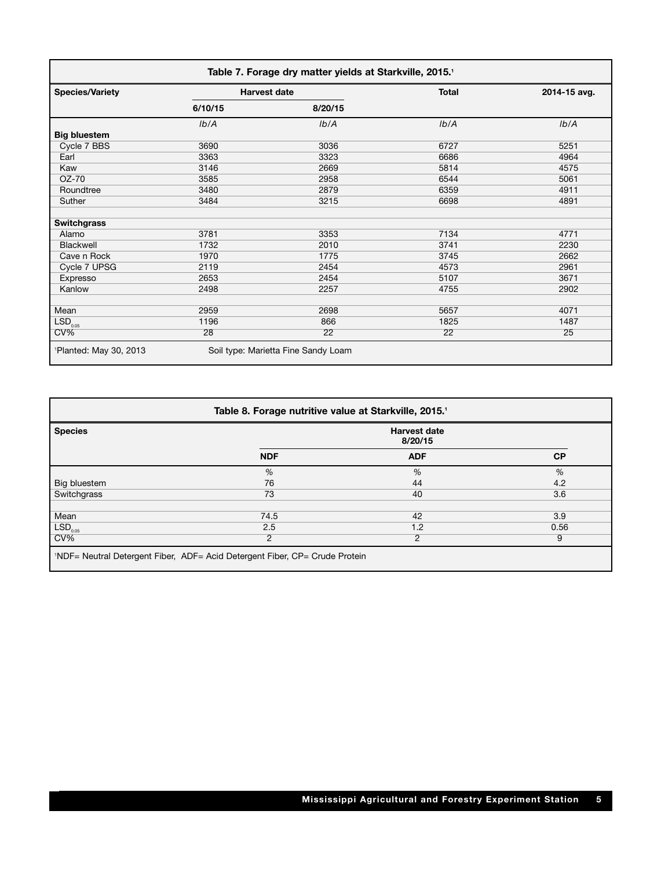| Table 7. Forage dry matter yields at Starkville, 2015. <sup>1</sup> |                     |                                     |              |              |
|---------------------------------------------------------------------|---------------------|-------------------------------------|--------------|--------------|
| <b>Species/Variety</b>                                              | <b>Harvest date</b> |                                     | <b>Total</b> | 2014-15 avg. |
|                                                                     | 6/10/15             | 8/20/15                             |              |              |
|                                                                     | Ib/A                | Ib/A                                | Ib/A         | Ib/A         |
| <b>Big bluestem</b>                                                 |                     |                                     |              |              |
| Cycle 7 BBS                                                         | 3690                | 3036                                | 6727         | 5251         |
| Earl                                                                | 3363                | 3323                                | 6686         | 4964         |
| Kaw                                                                 | 3146                | 2669                                | 5814         | 4575         |
| OZ-70                                                               | 3585                | 2958                                | 6544         | 5061         |
| Roundtree                                                           | 3480                | 2879                                | 6359         | 4911         |
| Suther                                                              | 3484                | 3215                                | 6698         | 4891         |
| <b>Switchgrass</b>                                                  |                     |                                     |              |              |
| Alamo                                                               | 3781                | 3353                                | 7134         | 4771         |
| Blackwell                                                           | 1732                | 2010                                | 3741         | 2230         |
| Cave n Rock                                                         | 1970                | 1775                                | 3745         | 2662         |
| Cycle 7 UPSG                                                        | 2119                | 2454                                | 4573         | 2961         |
| Expresso                                                            | 2653                | 2454                                | 5107         | 3671         |
| Kanlow                                                              | 2498                | 2257                                | 4755         | 2902         |
| Mean                                                                | 2959                | 2698                                | 5657         | 4071         |
| LSD <sub>0.05</sub>                                                 | 1196                | 866                                 | 1825         | 1487         |
| $CV\%$                                                              | 28                  | 22                                  | 22           | 25           |
| <sup>1</sup> Planted: May 30, 2013                                  |                     | Soil type: Marietta Fine Sandy Loam |              |              |

| Table 8. Forage nutritive value at Starkville, 2015. <sup>1</sup> |                                                                                                                                                                                                                                                                                                                                                                                   |            |           |  |
|-------------------------------------------------------------------|-----------------------------------------------------------------------------------------------------------------------------------------------------------------------------------------------------------------------------------------------------------------------------------------------------------------------------------------------------------------------------------|------------|-----------|--|
| <b>Species</b>                                                    | <b>Harvest date</b><br>8/20/15                                                                                                                                                                                                                                                                                                                                                    |            |           |  |
|                                                                   | <b>NDF</b>                                                                                                                                                                                                                                                                                                                                                                        | <b>ADF</b> | <b>CP</b> |  |
|                                                                   | %                                                                                                                                                                                                                                                                                                                                                                                 | %          | %         |  |
| Big bluestem                                                      | 76                                                                                                                                                                                                                                                                                                                                                                                | 44         | 4.2       |  |
| Switchgrass                                                       | 73                                                                                                                                                                                                                                                                                                                                                                                | 40         | 3.6       |  |
|                                                                   |                                                                                                                                                                                                                                                                                                                                                                                   |            |           |  |
| Mean                                                              | 74.5                                                                                                                                                                                                                                                                                                                                                                              | 42         | 3.9       |  |
| LSD <sub>0.05</sub>                                               | 2.5                                                                                                                                                                                                                                                                                                                                                                               | 1.2        | 0.56      |  |
| $CV\%$                                                            | 2                                                                                                                                                                                                                                                                                                                                                                                 | 2          | 9         |  |
|                                                                   | $\mathbf{A} \mathbf{B} \mathbf{C}$ , $\mathbf{A} \mathbf{D} \mathbf{C}$ , $\mathbf{A} \mathbf{D} \mathbf{C}$ , $\mathbf{A} \mathbf{A} \mathbf{D} \mathbf{A}$ , $\mathbf{A} \mathbf{D} \mathbf{D} \mathbf{D}$ , $\mathbf{A} \mathbf{D} \mathbf{D} \mathbf{D}$ , $\mathbf{A} \mathbf{D} \mathbf{D} \mathbf{D}$ , $\mathbf{A} \mathbf{D} \mathbf{D} \mathbf{D} \mathbf{D} \mathbf{D$ |            |           |  |

1 NDF= Neutral Detergent Fiber, ADF= Acid Detergent Fiber, CP= Crude Protein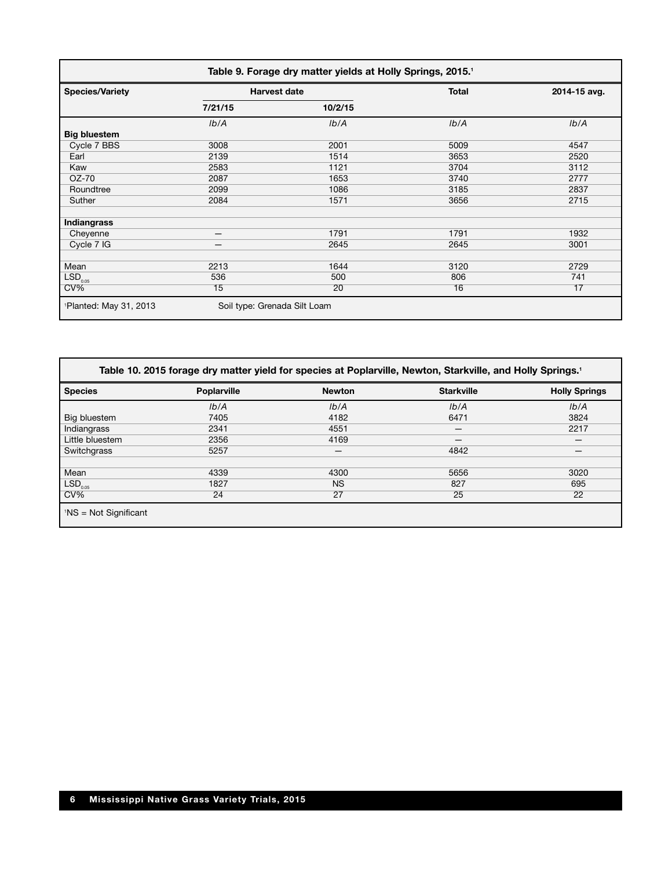| Table 9. Forage dry matter yields at Holly Springs, 2015. <sup>1</sup> |                              |                     |              |              |
|------------------------------------------------------------------------|------------------------------|---------------------|--------------|--------------|
| <b>Species/Variety</b>                                                 |                              | <b>Harvest date</b> | <b>Total</b> | 2014-15 avg. |
|                                                                        | 7/21/15                      | 10/2/15             |              |              |
|                                                                        | Ib/A                         | Ib/A                | Ib/A         | Ib/A         |
| <b>Big bluestem</b>                                                    |                              |                     |              |              |
| Cycle 7 BBS                                                            | 3008                         | 2001                | 5009         | 4547         |
| Earl                                                                   | 2139                         | 1514                | 3653         | 2520         |
| Kaw                                                                    | 2583                         | 1121                | 3704         | 3112         |
| OZ-70                                                                  | 2087                         | 1653                | 3740         | 2777         |
| Roundtree                                                              | 2099                         | 1086                | 3185         | 2837         |
| Suther                                                                 | 2084                         | 1571                | 3656         | 2715         |
| Indiangrass                                                            |                              |                     |              |              |
| Cheyenne                                                               | —                            | 1791                | 1791         | 1932         |
| Cycle 7 IG                                                             | –                            | 2645                | 2645         | 3001         |
|                                                                        |                              |                     |              |              |
| Mean                                                                   | 2213                         | 1644                | 3120         | 2729         |
| LSD <sub>0.05</sub>                                                    | 536                          | 500                 | 806          | 741          |
| $CV\%$                                                                 | 15                           | 20                  | 16           | 17           |
| <sup>1</sup> Planted: May 31, 2013                                     | Soil type: Grenada Silt Loam |                     |              |              |

|                                           |                    |               | Table 10. 2015 forage dry matter yield for species at Poplarville, Newton, Starkville, and Holly Springs. <sup>1</sup> |                      |
|-------------------------------------------|--------------------|---------------|------------------------------------------------------------------------------------------------------------------------|----------------------|
| <b>Species</b>                            | <b>Poplarville</b> | <b>Newton</b> | <b>Starkville</b>                                                                                                      | <b>Holly Springs</b> |
|                                           | Ib/A               | Ib/A          | Ib/A                                                                                                                   | Ib/A                 |
| Big bluestem                              | 7405               | 4182          | 6471                                                                                                                   | 3824                 |
| Indiangrass                               | 2341               | 4551          |                                                                                                                        | 2217                 |
| Little bluestem                           | 2356               | 4169          | —                                                                                                                      |                      |
| Switchgrass                               | 5257               |               | 4842                                                                                                                   |                      |
|                                           |                    |               |                                                                                                                        |                      |
| Mean                                      | 4339               | 4300          | 5656                                                                                                                   | 3020                 |
| $\mathsf{LSD}_{_{0.05}}$                  | 1827               | <b>NS</b>     | 827                                                                                                                    | 695                  |
| $CV\%$                                    | 24                 | 27            | 25                                                                                                                     | 22                   |
| $\big $ <sup>1</sup> NS = Not Significant |                    |               |                                                                                                                        |                      |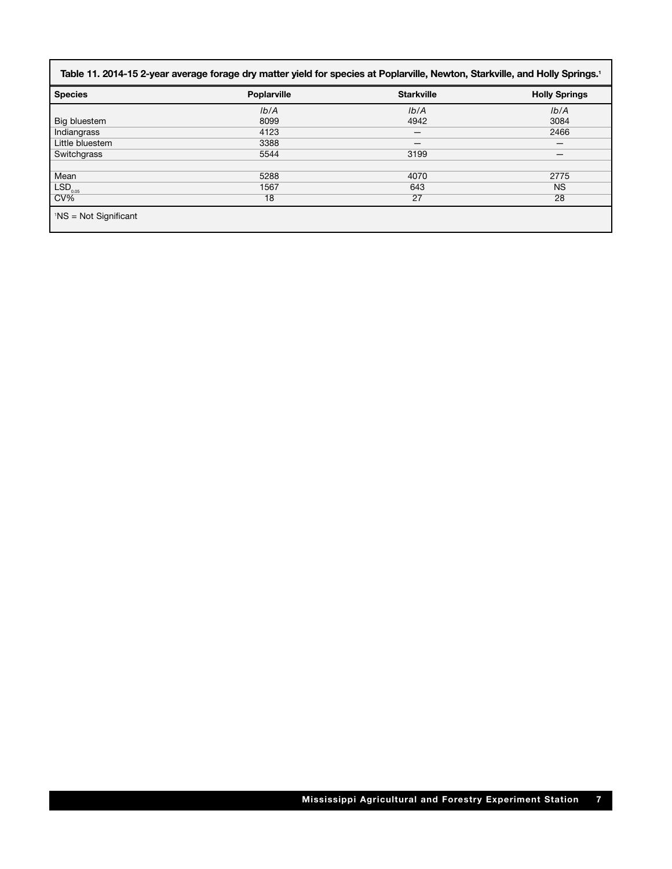| <b>Species</b>              | <b>Poplarville</b> | <b>Starkville</b> | <b>Holly Springs</b> |
|-----------------------------|--------------------|-------------------|----------------------|
|                             | Ib/A               | Ib/A              | Ib/A                 |
| Big bluestem                | 8099               | 4942              | 3084                 |
| Indiangrass                 | 4123               | –                 | 2466                 |
| Little bluestem             | 3388               |                   |                      |
| Switchgrass                 | 5544               | 3199              |                      |
|                             |                    |                   |                      |
| Mean                        | 5288               | 4070              | 2775                 |
| $\vert$ LSD <sub>0.05</sub> | 1567               | 643               | <b>NS</b>            |
| CV%                         | 18                 | 27                | 28                   |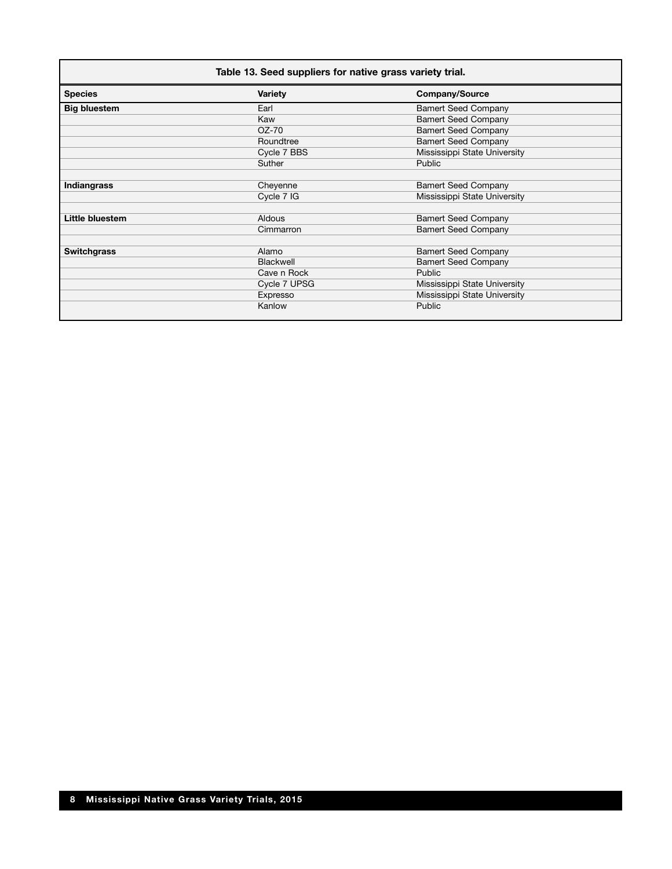| Table 13. Seed suppliers for native grass variety trial. |                  |                              |  |  |
|----------------------------------------------------------|------------------|------------------------------|--|--|
| <b>Species</b>                                           | <b>Variety</b>   | <b>Company/Source</b>        |  |  |
| <b>Big bluestem</b>                                      | Earl             | <b>Bamert Seed Company</b>   |  |  |
|                                                          | Kaw              | <b>Bamert Seed Company</b>   |  |  |
|                                                          | OZ-70            | <b>Bamert Seed Company</b>   |  |  |
|                                                          | Roundtree        | <b>Bamert Seed Company</b>   |  |  |
|                                                          | Cycle 7 BBS      | Mississippi State University |  |  |
|                                                          | Suther           | Public                       |  |  |
|                                                          |                  |                              |  |  |
| <b>Indiangrass</b>                                       | Cheyenne         | <b>Bamert Seed Company</b>   |  |  |
|                                                          | Cycle 7 IG       | Mississippi State University |  |  |
|                                                          |                  |                              |  |  |
| Little bluestem                                          | <b>Aldous</b>    | <b>Bamert Seed Company</b>   |  |  |
|                                                          | Cimmarron        | <b>Bamert Seed Company</b>   |  |  |
|                                                          |                  |                              |  |  |
| <b>Switchgrass</b>                                       | Alamo            | <b>Bamert Seed Company</b>   |  |  |
|                                                          | <b>Blackwell</b> | <b>Bamert Seed Company</b>   |  |  |
|                                                          | Cave n Rock      | Public                       |  |  |
|                                                          | Cycle 7 UPSG     | Mississippi State University |  |  |
|                                                          | Expresso         | Mississippi State University |  |  |
|                                                          | Kanlow           | <b>Public</b>                |  |  |
|                                                          |                  |                              |  |  |